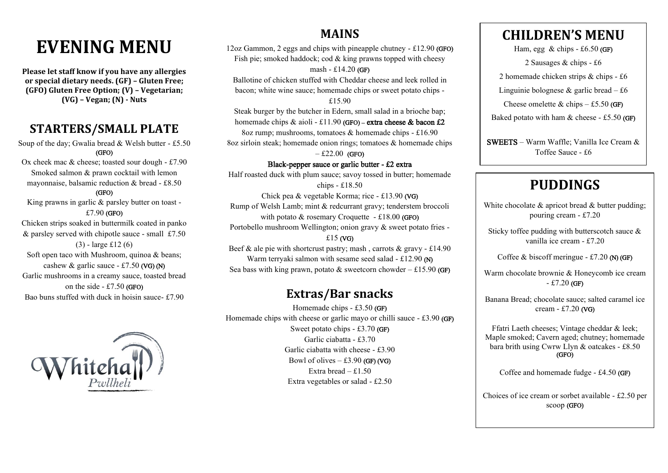# **EVENING MENU**

**Please let staff know if you have any allergies or special dietary needs. (GF) – Gluten Free; (GFO) Gluten Free Option; (V) – Vegetarian; (VG) – Vegan; (N) - Nuts**

### **STARTERS/SMALL PLATE**

Soup of the day; Gwalia bread  $&$  Welsh butter - £5.50 (GFO)

Ox cheek mac & cheese; toasted sour dough - £7.90 Smoked salmon & prawn cocktail with lemon mayonnaise, balsamic reduction & bread - £8.50

#### (GFO)

King prawns in garlic & parsley butter on toast - £7.90 (GFO)

Chicken strips soaked in buttermilk coated in panko & parsley served with chipotle sauce - small £7.50

(3) - large £12 (6) Soft open taco with Mushroom, quinoa & beans; cashew & garlic sauce  $-£7.50$  (VG) (N) Garlic mushrooms in a creamy sauce, toasted bread on the side  $-£7.50$  (GFO) Bao buns stuffed with duck in hoisin sauce- £7.90



### **MAINS**

12oz Gammon, 2 eggs and chips with pineapple chutney - £12.90 (GFO) Fish pie; smoked haddock; cod & king prawns topped with cheesy mash - £14.20 (GF)

Ballotine of chicken stuffed with Cheddar cheese and leek rolled in bacon; white wine sauce; homemade chips or sweet potato chips -

£15.90

Steak burger by the butcher in Edern, small salad in a brioche bap; homemade chips  $&$  aioli - £11.90 (GFO) – extra cheese  $&$  bacon £2

8oz rump; mushrooms, tomatoes & homemade chips - £16.90

8oz sirloin steak; homemade onion rings; tomatoes  $\&$  homemade chips

 $-£22.00$  (GFO)

Black-pepper sauce or garlic butter - £2 extra

Half roasted duck with plum sauce; savoy tossed in butter; homemade chips - £18.50

Chick pea & vegetable Korma; rice - £13.90 (VG) Rump of Welsh Lamb; mint & redcurrant gravy; tenderstem broccoli with potato  $&$  rosemary Croquette - £18.00 (GFO) Portobello mushroom Wellington; onion gravy & sweet potato fries -

### £15 (VG)

Beef  $\&$  ale pie with shortcrust pastry; mash, carrots  $\&$  gravy - £14.90 Warm terryaki salmon with sesame seed salad - £12.90 (N) Sea bass with king prawn, potato & sweetcorn chowder – £15.90 (GF)

### **Extras/Bar snacks**

Homemade chips - £3.50 (GF) Homemade chips with cheese or garlic mayo or chilli sauce - £3.90 (GF) Sweet potato chips - £3.70 (GF) Garlic ciabatta - £3.70 Garlic ciabatta with cheese - £3.90 Bowl of olives  $-$  £3.90 (GF) (VG) Extra bread – £1.50 Extra vegetables or salad - £2.50

## **CHILDREN'S MENU**

Ham, egg  $\&$  chips - £6.50 (GF)

2 Sausages & chips - £6

2 homemade chicken strips & chips - £6

Linguinie bolognese  $\&$  garlic bread – £6

Cheese omelette  $& \text{chips} - \pounds 5.50 \text{ (GF)}$ 

Baked potato with ham  $&$  cheese - £5.50 (GF)

SWEETS – Warm Waffle; Vanilla Ice Cream & Toffee Sauce - £6

# **PUDDINGS**

White chocolate & apricot bread & butter pudding: pouring cream - £7.20

Sticky toffee pudding with butterscotch sauce & vanilla ice cream - £7.20

Coffee & biscoff meringue  $-$  £7.20 (N) (GF)

Warm chocolate brownie & Honeycomb ice cream  $-$ £7.20 (GF)

Banana Bread; chocolate sauce; salted caramel ice cream - £7.20 (VG)

Ffatri Laeth cheeses; Vintage cheddar & leek; Maple smoked; Cavern aged; chutney; homemade bara brith using Cwrw Llyn & oatcakes - £8.50 (GFO)

Coffee and homemade fudge - £4.50 (GF)

Choices of ice cream or sorbet available - £2.50 per scoop (GFO)